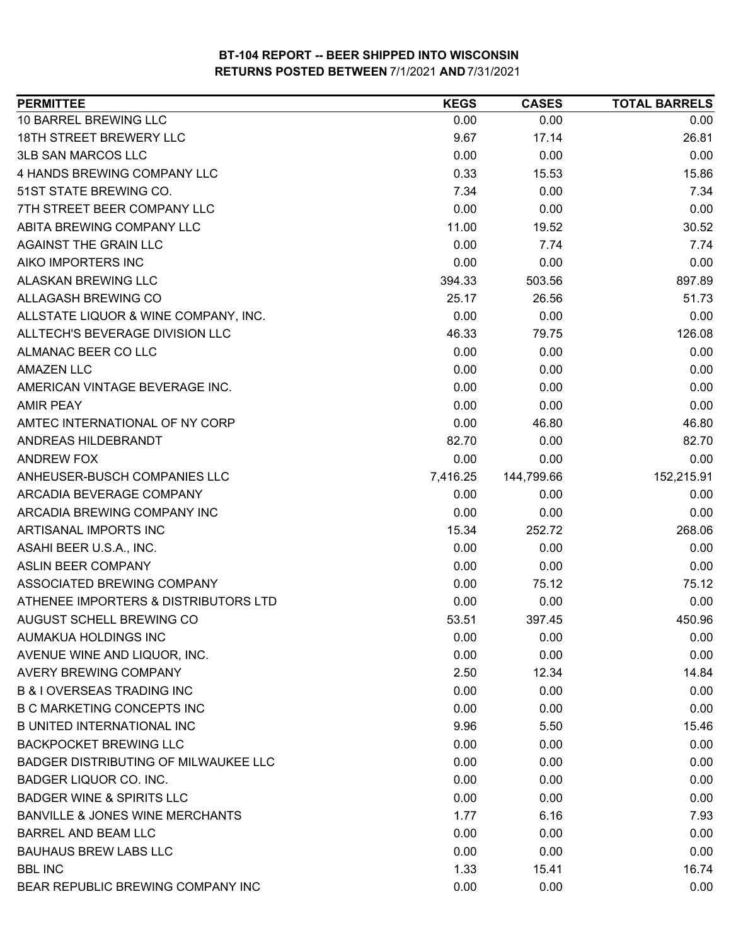| <b>PERMITTEE</b>                            | <b>KEGS</b> | <b>CASES</b> | <b>TOTAL BARRELS</b> |
|---------------------------------------------|-------------|--------------|----------------------|
| 10 BARREL BREWING LLC                       | 0.00        | 0.00         | 0.00                 |
| <b>18TH STREET BREWERY LLC</b>              | 9.67        | 17.14        | 26.81                |
| <b>3LB SAN MARCOS LLC</b>                   | 0.00        | 0.00         | 0.00                 |
| 4 HANDS BREWING COMPANY LLC                 | 0.33        | 15.53        | 15.86                |
| 51ST STATE BREWING CO.                      | 7.34        | 0.00         | 7.34                 |
| 7TH STREET BEER COMPANY LLC                 | 0.00        | 0.00         | 0.00                 |
| ABITA BREWING COMPANY LLC                   | 11.00       | 19.52        | 30.52                |
| AGAINST THE GRAIN LLC                       | 0.00        | 7.74         | 7.74                 |
| AIKO IMPORTERS INC                          | 0.00        | 0.00         | 0.00                 |
| ALASKAN BREWING LLC                         | 394.33      | 503.56       | 897.89               |
| ALLAGASH BREWING CO                         | 25.17       | 26.56        | 51.73                |
| ALLSTATE LIQUOR & WINE COMPANY, INC.        | 0.00        | 0.00         | 0.00                 |
| ALLTECH'S BEVERAGE DIVISION LLC             | 46.33       | 79.75        | 126.08               |
| ALMANAC BEER CO LLC                         | 0.00        | 0.00         | 0.00                 |
| <b>AMAZEN LLC</b>                           | 0.00        | 0.00         | 0.00                 |
| AMERICAN VINTAGE BEVERAGE INC.              | 0.00        | 0.00         | 0.00                 |
| <b>AMIR PEAY</b>                            | 0.00        | 0.00         | 0.00                 |
| AMTEC INTERNATIONAL OF NY CORP              | 0.00        | 46.80        | 46.80                |
| ANDREAS HILDEBRANDT                         | 82.70       | 0.00         | 82.70                |
| <b>ANDREW FOX</b>                           | 0.00        | 0.00         | 0.00                 |
| ANHEUSER-BUSCH COMPANIES LLC                | 7,416.25    | 144,799.66   | 152,215.91           |
| ARCADIA BEVERAGE COMPANY                    | 0.00        | 0.00         | 0.00                 |
| ARCADIA BREWING COMPANY INC                 | 0.00        | 0.00         | 0.00                 |
| ARTISANAL IMPORTS INC                       | 15.34       | 252.72       | 268.06               |
| ASAHI BEER U.S.A., INC.                     | 0.00        | 0.00         | 0.00                 |
| <b>ASLIN BEER COMPANY</b>                   | 0.00        | 0.00         | 0.00                 |
| ASSOCIATED BREWING COMPANY                  | 0.00        | 75.12        | 75.12                |
| ATHENEE IMPORTERS & DISTRIBUTORS LTD        | 0.00        | 0.00         | 0.00                 |
| AUGUST SCHELL BREWING CO                    | 53.51       | 397.45       | 450.96               |
| AUMAKUA HOLDINGS INC                        | 0.00        | 0.00         | 0.00                 |
| AVENUE WINE AND LIQUOR, INC.                | 0.00        | 0.00         | 0.00                 |
| AVERY BREWING COMPANY                       | 2.50        | 12.34        | 14.84                |
| <b>B &amp; I OVERSEAS TRADING INC</b>       | 0.00        | 0.00         | 0.00                 |
| <b>B C MARKETING CONCEPTS INC</b>           | 0.00        | 0.00         | 0.00                 |
| <b>B UNITED INTERNATIONAL INC</b>           | 9.96        | 5.50         | 15.46                |
| <b>BACKPOCKET BREWING LLC</b>               | 0.00        | 0.00         | 0.00                 |
| <b>BADGER DISTRIBUTING OF MILWAUKEE LLC</b> | 0.00        | 0.00         | 0.00                 |
| <b>BADGER LIQUOR CO. INC.</b>               | 0.00        | 0.00         | 0.00                 |
| <b>BADGER WINE &amp; SPIRITS LLC</b>        | 0.00        | 0.00         | 0.00                 |
| <b>BANVILLE &amp; JONES WINE MERCHANTS</b>  | 1.77        | 6.16         | 7.93                 |
| <b>BARREL AND BEAM LLC</b>                  | 0.00        | 0.00         | 0.00                 |
| <b>BAUHAUS BREW LABS LLC</b>                | 0.00        | 0.00         | 0.00                 |
| <b>BBL INC</b>                              | 1.33        | 15.41        | 16.74                |
| BEAR REPUBLIC BREWING COMPANY INC           | 0.00        | 0.00         | 0.00                 |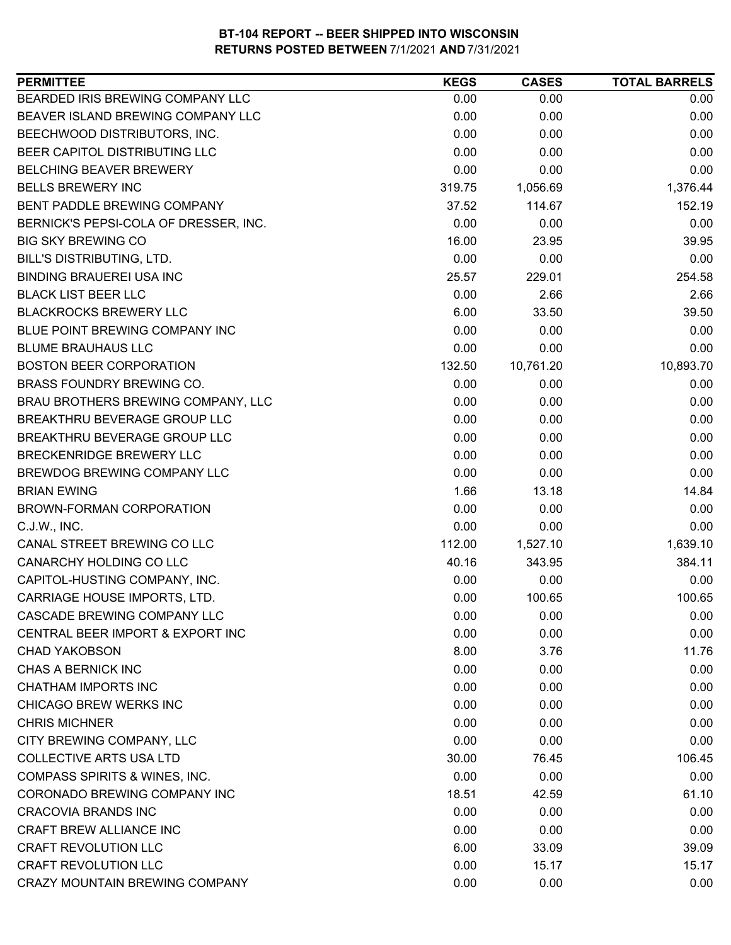| <b>PERMITTEE</b>                         | <b>KEGS</b> | <b>CASES</b> | <b>TOTAL BARRELS</b> |
|------------------------------------------|-------------|--------------|----------------------|
| BEARDED IRIS BREWING COMPANY LLC         | 0.00        | 0.00         | 0.00                 |
| BEAVER ISLAND BREWING COMPANY LLC        | 0.00        | 0.00         | 0.00                 |
| BEECHWOOD DISTRIBUTORS, INC.             | 0.00        | 0.00         | 0.00                 |
| BEER CAPITOL DISTRIBUTING LLC            | 0.00        | 0.00         | 0.00                 |
| <b>BELCHING BEAVER BREWERY</b>           | 0.00        | 0.00         | 0.00                 |
| <b>BELLS BREWERY INC</b>                 | 319.75      | 1,056.69     | 1,376.44             |
| BENT PADDLE BREWING COMPANY              | 37.52       | 114.67       | 152.19               |
| BERNICK'S PEPSI-COLA OF DRESSER, INC.    | 0.00        | 0.00         | 0.00                 |
| <b>BIG SKY BREWING CO</b>                | 16.00       | 23.95        | 39.95                |
| BILL'S DISTRIBUTING, LTD.                | 0.00        | 0.00         | 0.00                 |
| <b>BINDING BRAUEREI USA INC</b>          | 25.57       | 229.01       | 254.58               |
| <b>BLACK LIST BEER LLC</b>               | 0.00        | 2.66         | 2.66                 |
| <b>BLACKROCKS BREWERY LLC</b>            | 6.00        | 33.50        | 39.50                |
| BLUE POINT BREWING COMPANY INC           | 0.00        | 0.00         | 0.00                 |
| <b>BLUME BRAUHAUS LLC</b>                | 0.00        | 0.00         | 0.00                 |
| <b>BOSTON BEER CORPORATION</b>           | 132.50      | 10,761.20    | 10,893.70            |
| <b>BRASS FOUNDRY BREWING CO.</b>         | 0.00        | 0.00         | 0.00                 |
| BRAU BROTHERS BREWING COMPANY, LLC       | 0.00        | 0.00         | 0.00                 |
| BREAKTHRU BEVERAGE GROUP LLC             | 0.00        | 0.00         | 0.00                 |
| BREAKTHRU BEVERAGE GROUP LLC             | 0.00        | 0.00         | 0.00                 |
| BRECKENRIDGE BREWERY LLC                 | 0.00        | 0.00         | 0.00                 |
| BREWDOG BREWING COMPANY LLC              | 0.00        | 0.00         | 0.00                 |
| <b>BRIAN EWING</b>                       | 1.66        | 13.18        | 14.84                |
| BROWN-FORMAN CORPORATION                 | 0.00        | 0.00         | 0.00                 |
| C.J.W., INC.                             | 0.00        | 0.00         | 0.00                 |
| CANAL STREET BREWING CO LLC              | 112.00      | 1,527.10     | 1,639.10             |
| CANARCHY HOLDING CO LLC                  | 40.16       | 343.95       | 384.11               |
| CAPITOL-HUSTING COMPANY, INC.            | 0.00        | 0.00         | 0.00                 |
| CARRIAGE HOUSE IMPORTS, LTD.             | 0.00        | 100.65       | 100.65               |
| CASCADE BREWING COMPANY LLC              | 0.00        | 0.00         | 0.00                 |
| CENTRAL BEER IMPORT & EXPORT INC         | 0.00        | 0.00         | 0.00                 |
| <b>CHAD YAKOBSON</b>                     | 8.00        | 3.76         | 11.76                |
| CHAS A BERNICK INC                       | 0.00        | 0.00         | 0.00                 |
| <b>CHATHAM IMPORTS INC</b>               | 0.00        | 0.00         | 0.00                 |
| CHICAGO BREW WERKS INC                   | 0.00        | 0.00         | 0.00                 |
| <b>CHRIS MICHNER</b>                     | 0.00        | 0.00         | 0.00                 |
| CITY BREWING COMPANY, LLC                | 0.00        | 0.00         | 0.00                 |
| <b>COLLECTIVE ARTS USA LTD</b>           | 30.00       | 76.45        | 106.45               |
| <b>COMPASS SPIRITS &amp; WINES, INC.</b> | 0.00        | 0.00         | 0.00                 |
| CORONADO BREWING COMPANY INC             | 18.51       | 42.59        | 61.10                |
| <b>CRACOVIA BRANDS INC</b>               | 0.00        | 0.00         | 0.00                 |
| CRAFT BREW ALLIANCE INC                  | 0.00        | 0.00         | 0.00                 |
| <b>CRAFT REVOLUTION LLC</b>              | 6.00        | 33.09        | 39.09                |
| <b>CRAFT REVOLUTION LLC</b>              | 0.00        | 15.17        | 15.17                |
| CRAZY MOUNTAIN BREWING COMPANY           | 0.00        | 0.00         | 0.00                 |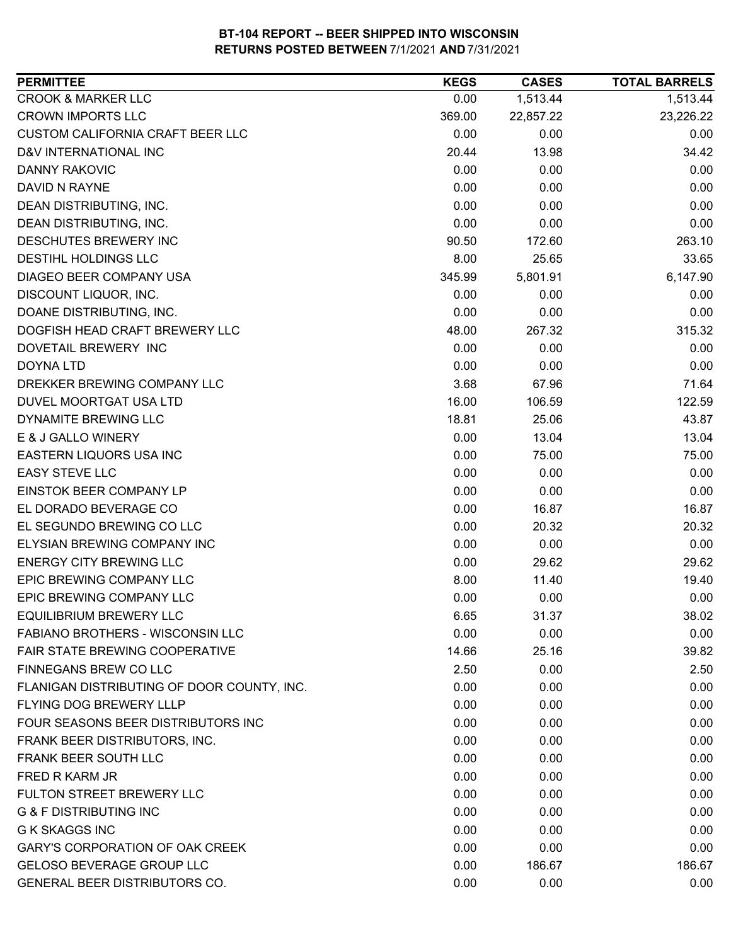| <b>PERMITTEE</b>                           | <b>KEGS</b> | <b>CASES</b> | <b>TOTAL BARRELS</b> |
|--------------------------------------------|-------------|--------------|----------------------|
| <b>CROOK &amp; MARKER LLC</b>              | 0.00        | 1,513.44     | 1,513.44             |
| <b>CROWN IMPORTS LLC</b>                   | 369.00      | 22,857.22    | 23,226.22            |
| CUSTOM CALIFORNIA CRAFT BEER LLC           | 0.00        | 0.00         | 0.00                 |
| D&V INTERNATIONAL INC                      | 20.44       | 13.98        | 34.42                |
| DANNY RAKOVIC                              | 0.00        | 0.00         | 0.00                 |
| DAVID N RAYNE                              | 0.00        | 0.00         | 0.00                 |
| DEAN DISTRIBUTING, INC.                    | 0.00        | 0.00         | 0.00                 |
| DEAN DISTRIBUTING, INC.                    | 0.00        | 0.00         | 0.00                 |
| DESCHUTES BREWERY INC                      | 90.50       | 172.60       | 263.10               |
| <b>DESTIHL HOLDINGS LLC</b>                | 8.00        | 25.65        | 33.65                |
| DIAGEO BEER COMPANY USA                    | 345.99      | 5,801.91     | 6,147.90             |
| DISCOUNT LIQUOR, INC.                      | 0.00        | 0.00         | 0.00                 |
| DOANE DISTRIBUTING, INC.                   | 0.00        | 0.00         | 0.00                 |
| DOGFISH HEAD CRAFT BREWERY LLC             | 48.00       | 267.32       | 315.32               |
| DOVETAIL BREWERY INC                       | 0.00        | 0.00         | 0.00                 |
| <b>DOYNA LTD</b>                           | 0.00        | 0.00         | 0.00                 |
| DREKKER BREWING COMPANY LLC                | 3.68        | 67.96        | 71.64                |
| DUVEL MOORTGAT USA LTD                     | 16.00       | 106.59       | 122.59               |
| DYNAMITE BREWING LLC                       | 18.81       | 25.06        | 43.87                |
| E & J GALLO WINERY                         | 0.00        | 13.04        | 13.04                |
| EASTERN LIQUORS USA INC                    | 0.00        | 75.00        | 75.00                |
| <b>EASY STEVE LLC</b>                      | 0.00        | 0.00         | 0.00                 |
| EINSTOK BEER COMPANY LP                    | 0.00        | 0.00         | 0.00                 |
| EL DORADO BEVERAGE CO                      | 0.00        | 16.87        | 16.87                |
| EL SEGUNDO BREWING CO LLC                  | 0.00        | 20.32        | 20.32                |
| <b>ELYSIAN BREWING COMPANY INC</b>         | 0.00        | 0.00         | 0.00                 |
| <b>ENERGY CITY BREWING LLC</b>             | 0.00        | 29.62        | 29.62                |
| EPIC BREWING COMPANY LLC                   | 8.00        | 11.40        | 19.40                |
| EPIC BREWING COMPANY LLC                   | 0.00        | 0.00         | 0.00                 |
| <b>EQUILIBRIUM BREWERY LLC</b>             | 6.65        | 31.37        | 38.02                |
| FABIANO BROTHERS - WISCONSIN LLC           | 0.00        | 0.00         | 0.00                 |
| <b>FAIR STATE BREWING COOPERATIVE</b>      | 14.66       | 25.16        | 39.82                |
| FINNEGANS BREW CO LLC                      | 2.50        | 0.00         | 2.50                 |
| FLANIGAN DISTRIBUTING OF DOOR COUNTY, INC. | 0.00        | 0.00         | 0.00                 |
| FLYING DOG BREWERY LLLP                    | 0.00        | 0.00         | 0.00                 |
| FOUR SEASONS BEER DISTRIBUTORS INC         | 0.00        | 0.00         | 0.00                 |
| FRANK BEER DISTRIBUTORS, INC.              | 0.00        | 0.00         | 0.00                 |
| FRANK BEER SOUTH LLC                       | 0.00        | 0.00         | 0.00                 |
| FRED R KARM JR                             | 0.00        | 0.00         | 0.00                 |
| FULTON STREET BREWERY LLC                  | 0.00        | 0.00         | 0.00                 |
| <b>G &amp; F DISTRIBUTING INC</b>          | 0.00        | 0.00         | 0.00                 |
| <b>G K SKAGGS INC</b>                      | 0.00        | 0.00         | 0.00                 |
| <b>GARY'S CORPORATION OF OAK CREEK</b>     | 0.00        | 0.00         | 0.00                 |
| GELOSO BEVERAGE GROUP LLC                  | 0.00        | 186.67       | 186.67               |
| GENERAL BEER DISTRIBUTORS CO.              | 0.00        | 0.00         | 0.00                 |
|                                            |             |              |                      |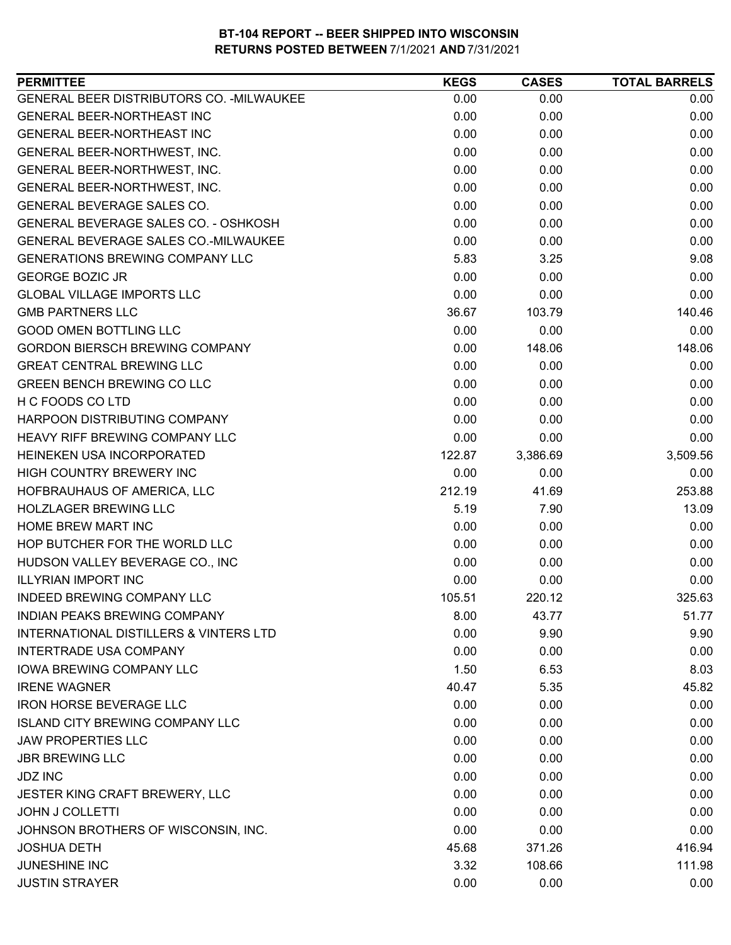| GENERAL BEER DISTRIBUTORS CO. - MILWAUKEE<br>0.00<br>0.00<br><b>GENERAL BEER-NORTHEAST INC</b><br>0.00<br>0.00<br>GENERAL BEER-NORTHEAST INC<br>0.00<br>0.00<br>0.00<br>GENERAL BEER-NORTHWEST, INC.<br>0.00<br>0.00<br>GENERAL BEER-NORTHWEST, INC.<br>0.00<br>GENERAL BEER-NORTHWEST, INC.<br>0.00<br>0.00<br>GENERAL BEVERAGE SALES CO.<br>0.00<br>0.00 | 0.00     |
|------------------------------------------------------------------------------------------------------------------------------------------------------------------------------------------------------------------------------------------------------------------------------------------------------------------------------------------------------------|----------|
|                                                                                                                                                                                                                                                                                                                                                            |          |
|                                                                                                                                                                                                                                                                                                                                                            | 0.00     |
|                                                                                                                                                                                                                                                                                                                                                            | 0.00     |
|                                                                                                                                                                                                                                                                                                                                                            | 0.00     |
|                                                                                                                                                                                                                                                                                                                                                            | 0.00     |
|                                                                                                                                                                                                                                                                                                                                                            | 0.00     |
|                                                                                                                                                                                                                                                                                                                                                            | 0.00     |
| GENERAL BEVERAGE SALES CO. - OSHKOSH<br>0.00<br>0.00                                                                                                                                                                                                                                                                                                       | 0.00     |
| <b>GENERAL BEVERAGE SALES CO.-MILWAUKEE</b><br>0.00<br>0.00                                                                                                                                                                                                                                                                                                | 0.00     |
| <b>GENERATIONS BREWING COMPANY LLC</b><br>5.83<br>3.25                                                                                                                                                                                                                                                                                                     | 9.08     |
| 0.00<br><b>GEORGE BOZIC JR</b><br>0.00                                                                                                                                                                                                                                                                                                                     | 0.00     |
| 0.00<br><b>GLOBAL VILLAGE IMPORTS LLC</b><br>0.00                                                                                                                                                                                                                                                                                                          | 0.00     |
| <b>GMB PARTNERS LLC</b><br>36.67<br>103.79                                                                                                                                                                                                                                                                                                                 | 140.46   |
| <b>GOOD OMEN BOTTLING LLC</b><br>0.00<br>0.00                                                                                                                                                                                                                                                                                                              | 0.00     |
| <b>GORDON BIERSCH BREWING COMPANY</b><br>0.00<br>148.06                                                                                                                                                                                                                                                                                                    | 148.06   |
| <b>GREAT CENTRAL BREWING LLC</b><br>0.00<br>0.00                                                                                                                                                                                                                                                                                                           | 0.00     |
| 0.00<br><b>GREEN BENCH BREWING CO LLC</b><br>0.00                                                                                                                                                                                                                                                                                                          | 0.00     |
| H C FOODS CO LTD<br>0.00<br>0.00                                                                                                                                                                                                                                                                                                                           | 0.00     |
| HARPOON DISTRIBUTING COMPANY<br>0.00<br>0.00                                                                                                                                                                                                                                                                                                               | 0.00     |
| 0.00<br><b>HEAVY RIFF BREWING COMPANY LLC</b><br>0.00                                                                                                                                                                                                                                                                                                      | 0.00     |
| HEINEKEN USA INCORPORATED<br>122.87<br>3,386.69                                                                                                                                                                                                                                                                                                            | 3,509.56 |
| HIGH COUNTRY BREWERY INC<br>0.00<br>0.00                                                                                                                                                                                                                                                                                                                   | 0.00     |
| HOFBRAUHAUS OF AMERICA, LLC<br>212.19<br>41.69                                                                                                                                                                                                                                                                                                             | 253.88   |
| <b>HOLZLAGER BREWING LLC</b><br>5.19<br>7.90                                                                                                                                                                                                                                                                                                               | 13.09    |
| 0.00<br>0.00<br>HOME BREW MART INC                                                                                                                                                                                                                                                                                                                         | 0.00     |
| HOP BUTCHER FOR THE WORLD LLC<br>0.00<br>0.00                                                                                                                                                                                                                                                                                                              | 0.00     |
| HUDSON VALLEY BEVERAGE CO., INC<br>0.00<br>0.00                                                                                                                                                                                                                                                                                                            | 0.00     |
| <b>ILLYRIAN IMPORT INC</b><br>0.00<br>0.00                                                                                                                                                                                                                                                                                                                 | 0.00     |
| 105.51<br>220.12<br>INDEED BREWING COMPANY LLC                                                                                                                                                                                                                                                                                                             | 325.63   |
| <b>INDIAN PEAKS BREWING COMPANY</b><br>8.00<br>43.77                                                                                                                                                                                                                                                                                                       | 51.77    |
| 0.00<br>9.90<br>INTERNATIONAL DISTILLERS & VINTERS LTD                                                                                                                                                                                                                                                                                                     | 9.90     |
| <b>INTERTRADE USA COMPANY</b><br>0.00<br>0.00                                                                                                                                                                                                                                                                                                              | 0.00     |
| <b>IOWA BREWING COMPANY LLC</b><br>1.50<br>6.53                                                                                                                                                                                                                                                                                                            | 8.03     |
| <b>IRENE WAGNER</b><br>40.47<br>5.35                                                                                                                                                                                                                                                                                                                       | 45.82    |
| <b>IRON HORSE BEVERAGE LLC</b><br>0.00<br>0.00                                                                                                                                                                                                                                                                                                             | 0.00     |
| <b>ISLAND CITY BREWING COMPANY LLC</b><br>0.00<br>0.00                                                                                                                                                                                                                                                                                                     | 0.00     |
| <b>JAW PROPERTIES LLC</b><br>0.00<br>0.00                                                                                                                                                                                                                                                                                                                  | 0.00     |
| <b>JBR BREWING LLC</b><br>0.00<br>0.00                                                                                                                                                                                                                                                                                                                     | 0.00     |
| 0.00<br><b>JDZ INC</b><br>0.00                                                                                                                                                                                                                                                                                                                             | 0.00     |
| JESTER KING CRAFT BREWERY, LLC<br>0.00<br>0.00                                                                                                                                                                                                                                                                                                             | 0.00     |
| <b>JOHN J COLLETTI</b><br>0.00<br>0.00                                                                                                                                                                                                                                                                                                                     | 0.00     |
| JOHNSON BROTHERS OF WISCONSIN, INC.<br>0.00<br>0.00                                                                                                                                                                                                                                                                                                        | 0.00     |
| <b>JOSHUA DETH</b><br>45.68<br>371.26                                                                                                                                                                                                                                                                                                                      | 416.94   |
| <b>JUNESHINE INC</b><br>3.32<br>108.66                                                                                                                                                                                                                                                                                                                     | 111.98   |
| <b>JUSTIN STRAYER</b><br>0.00<br>0.00                                                                                                                                                                                                                                                                                                                      | 0.00     |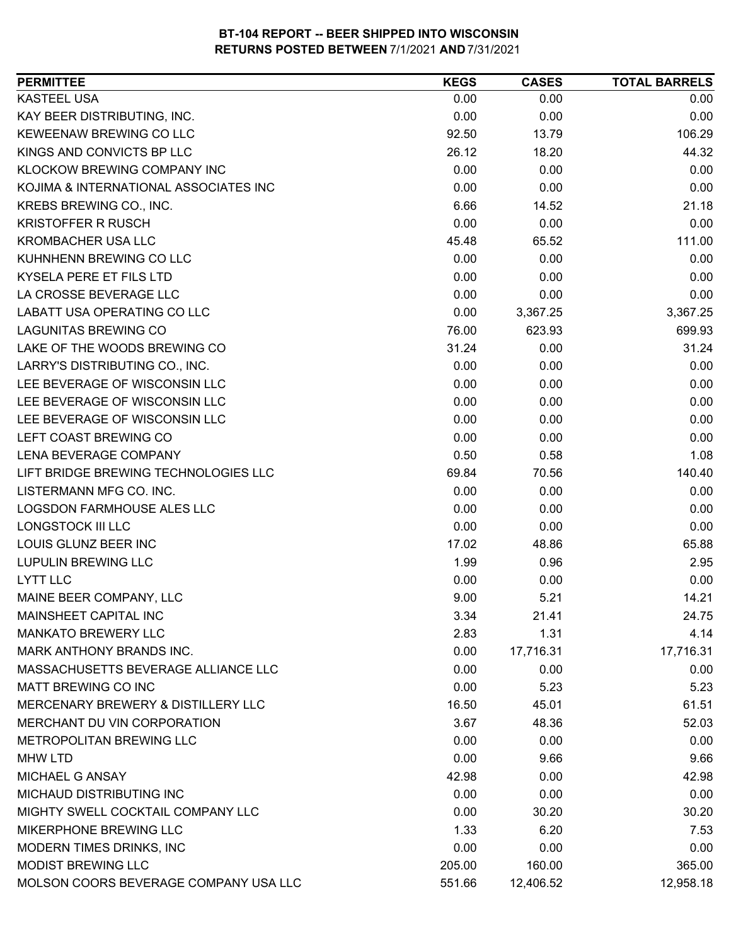| <b>PERMITTEE</b>                      | <b>KEGS</b> | <b>CASES</b> | <b>TOTAL BARRELS</b> |
|---------------------------------------|-------------|--------------|----------------------|
| <b>KASTEEL USA</b>                    | 0.00        | 0.00         | 0.00                 |
| KAY BEER DISTRIBUTING, INC.           | 0.00        | 0.00         | 0.00                 |
| KEWEENAW BREWING CO LLC               | 92.50       | 13.79        | 106.29               |
| KINGS AND CONVICTS BP LLC             | 26.12       | 18.20        | 44.32                |
| KLOCKOW BREWING COMPANY INC           | 0.00        | 0.00         | 0.00                 |
| KOJIMA & INTERNATIONAL ASSOCIATES INC | 0.00        | 0.00         | 0.00                 |
| KREBS BREWING CO., INC.               | 6.66        | 14.52        | 21.18                |
| <b>KRISTOFFER R RUSCH</b>             | 0.00        | 0.00         | 0.00                 |
| <b>KROMBACHER USA LLC</b>             | 45.48       | 65.52        | 111.00               |
| KUHNHENN BREWING CO LLC               | 0.00        | 0.00         | 0.00                 |
| KYSELA PERE ET FILS LTD               | 0.00        | 0.00         | 0.00                 |
| LA CROSSE BEVERAGE LLC                | 0.00        | 0.00         | 0.00                 |
| LABATT USA OPERATING CO LLC           | 0.00        | 3,367.25     | 3,367.25             |
| <b>LAGUNITAS BREWING CO</b>           | 76.00       | 623.93       | 699.93               |
| LAKE OF THE WOODS BREWING CO          | 31.24       | 0.00         | 31.24                |
| LARRY'S DISTRIBUTING CO., INC.        | 0.00        | 0.00         | 0.00                 |
| LEE BEVERAGE OF WISCONSIN LLC         | 0.00        | 0.00         | 0.00                 |
| LEE BEVERAGE OF WISCONSIN LLC         | 0.00        | 0.00         | 0.00                 |
| LEE BEVERAGE OF WISCONSIN LLC         | 0.00        | 0.00         | 0.00                 |
| LEFT COAST BREWING CO                 | 0.00        | 0.00         | 0.00                 |
| LENA BEVERAGE COMPANY                 | 0.50        | 0.58         | 1.08                 |
| LIFT BRIDGE BREWING TECHNOLOGIES LLC  | 69.84       | 70.56        | 140.40               |
| LISTERMANN MFG CO. INC.               | 0.00        | 0.00         | 0.00                 |
| <b>LOGSDON FARMHOUSE ALES LLC</b>     | 0.00        | 0.00         | 0.00                 |
| <b>LONGSTOCK III LLC</b>              | 0.00        | 0.00         | 0.00                 |
| LOUIS GLUNZ BEER INC                  | 17.02       | 48.86        | 65.88                |
| <b>LUPULIN BREWING LLC</b>            | 1.99        | 0.96         | 2.95                 |
| <b>LYTT LLC</b>                       | 0.00        | 0.00         | 0.00                 |
| MAINE BEER COMPANY, LLC               | 9.00        | 5.21         | 14.21                |
| MAINSHEET CAPITAL INC                 | 3.34        | 21.41        | 24.75                |
| <b>MANKATO BREWERY LLC</b>            | 2.83        | 1.31         | 4.14                 |
| <b>MARK ANTHONY BRANDS INC.</b>       | 0.00        | 17,716.31    | 17,716.31            |
| MASSACHUSETTS BEVERAGE ALLIANCE LLC   | 0.00        | 0.00         | 0.00                 |
| <b>MATT BREWING CO INC</b>            | 0.00        | 5.23         | 5.23                 |
| MERCENARY BREWERY & DISTILLERY LLC    | 16.50       | 45.01        | 61.51                |
| MERCHANT DU VIN CORPORATION           | 3.67        | 48.36        | 52.03                |
| METROPOLITAN BREWING LLC              | 0.00        | 0.00         | 0.00                 |
| <b>MHW LTD</b>                        | 0.00        | 9.66         | 9.66                 |
| <b>MICHAEL G ANSAY</b>                | 42.98       | 0.00         | 42.98                |
| MICHAUD DISTRIBUTING INC              | 0.00        | 0.00         | 0.00                 |
| MIGHTY SWELL COCKTAIL COMPANY LLC     | 0.00        | 30.20        | 30.20                |
| MIKERPHONE BREWING LLC                | 1.33        | 6.20         | 7.53                 |
| MODERN TIMES DRINKS, INC              | 0.00        | 0.00         | 0.00                 |
| MODIST BREWING LLC                    | 205.00      | 160.00       | 365.00               |
| MOLSON COORS BEVERAGE COMPANY USA LLC | 551.66      | 12,406.52    | 12,958.18            |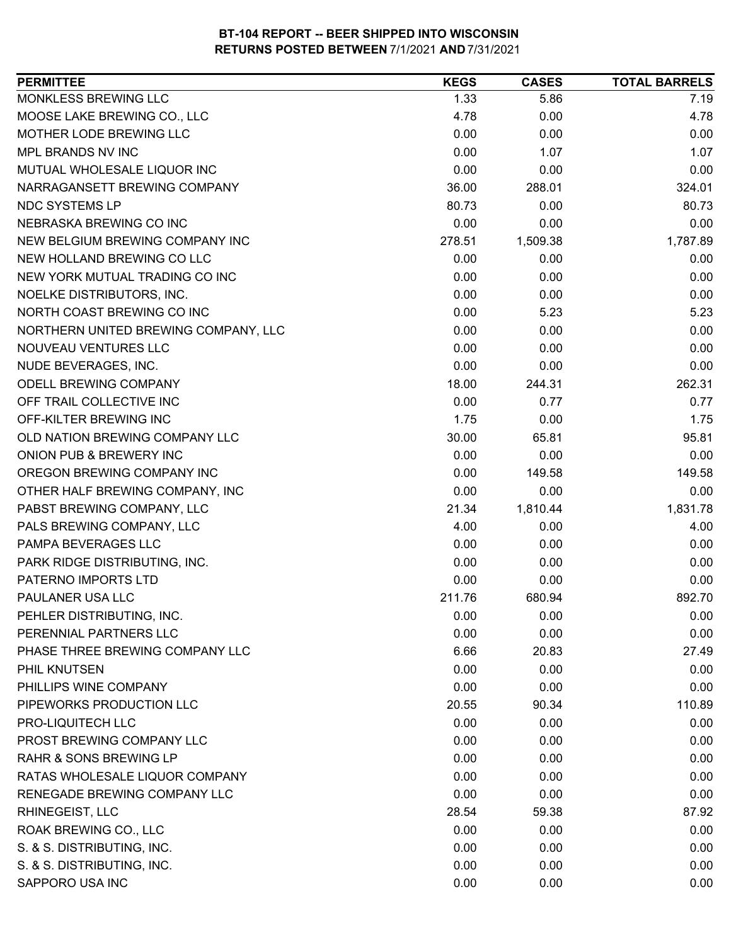| <b>PERMITTEE</b>                     | <b>KEGS</b> | <b>CASES</b> | <b>TOTAL BARRELS</b> |
|--------------------------------------|-------------|--------------|----------------------|
| MONKLESS BREWING LLC                 | 1.33        | 5.86         | 7.19                 |
| MOOSE LAKE BREWING CO., LLC          | 4.78        | 0.00         | 4.78                 |
| MOTHER LODE BREWING LLC              | 0.00        | 0.00         | 0.00                 |
| MPL BRANDS NV INC                    | 0.00        | 1.07         | 1.07                 |
| MUTUAL WHOLESALE LIQUOR INC          | 0.00        | 0.00         | 0.00                 |
| NARRAGANSETT BREWING COMPANY         | 36.00       | 288.01       | 324.01               |
| NDC SYSTEMS LP                       | 80.73       | 0.00         | 80.73                |
| NEBRASKA BREWING CO INC              | 0.00        | 0.00         | 0.00                 |
| NEW BELGIUM BREWING COMPANY INC      | 278.51      | 1,509.38     | 1,787.89             |
| NEW HOLLAND BREWING CO LLC           | 0.00        | 0.00         | 0.00                 |
| NEW YORK MUTUAL TRADING CO INC       | 0.00        | 0.00         | 0.00                 |
| NOELKE DISTRIBUTORS, INC.            | 0.00        | 0.00         | 0.00                 |
| NORTH COAST BREWING CO INC           | 0.00        | 5.23         | 5.23                 |
| NORTHERN UNITED BREWING COMPANY, LLC | 0.00        | 0.00         | 0.00                 |
| NOUVEAU VENTURES LLC                 | 0.00        | 0.00         | 0.00                 |
| NUDE BEVERAGES, INC.                 | 0.00        | 0.00         | 0.00                 |
| <b>ODELL BREWING COMPANY</b>         | 18.00       | 244.31       | 262.31               |
| OFF TRAIL COLLECTIVE INC             | 0.00        | 0.77         | 0.77                 |
| OFF-KILTER BREWING INC               | 1.75        | 0.00         | 1.75                 |
| OLD NATION BREWING COMPANY LLC       | 30.00       | 65.81        | 95.81                |
| ONION PUB & BREWERY INC              | 0.00        | 0.00         | 0.00                 |
| OREGON BREWING COMPANY INC           | 0.00        | 149.58       | 149.58               |
| OTHER HALF BREWING COMPANY, INC      | 0.00        | 0.00         | 0.00                 |
| PABST BREWING COMPANY, LLC           | 21.34       | 1,810.44     | 1,831.78             |
| PALS BREWING COMPANY, LLC            | 4.00        | 0.00         | 4.00                 |
| PAMPA BEVERAGES LLC                  | 0.00        | 0.00         | 0.00                 |
| PARK RIDGE DISTRIBUTING, INC.        | 0.00        | 0.00         | 0.00                 |
| PATERNO IMPORTS LTD                  | 0.00        | 0.00         | 0.00                 |
| PAULANER USA LLC                     | 211.76      | 680.94       | 892.70               |
| PEHLER DISTRIBUTING, INC.            | 0.00        | 0.00         | 0.00                 |
| PERENNIAL PARTNERS LLC               | 0.00        | 0.00         | 0.00                 |
| PHASE THREE BREWING COMPANY LLC      | 6.66        | 20.83        | 27.49                |
| PHIL KNUTSEN                         | 0.00        | 0.00         | 0.00                 |
| PHILLIPS WINE COMPANY                | 0.00        | 0.00         | 0.00                 |
| PIPEWORKS PRODUCTION LLC             | 20.55       | 90.34        | 110.89               |
| PRO-LIQUITECH LLC                    | 0.00        | 0.00         | 0.00                 |
| PROST BREWING COMPANY LLC            | 0.00        | 0.00         | 0.00                 |
| <b>RAHR &amp; SONS BREWING LP</b>    | 0.00        | 0.00         | 0.00                 |
| RATAS WHOLESALE LIQUOR COMPANY       | 0.00        | 0.00         | 0.00                 |
| RENEGADE BREWING COMPANY LLC         | 0.00        | 0.00         | 0.00                 |
| RHINEGEIST, LLC                      | 28.54       | 59.38        | 87.92                |
| ROAK BREWING CO., LLC                | 0.00        | 0.00         | 0.00                 |
| S. & S. DISTRIBUTING, INC.           | 0.00        | 0.00         | 0.00                 |
| S. & S. DISTRIBUTING, INC.           | 0.00        | 0.00         | 0.00                 |
| SAPPORO USA INC                      | 0.00        | 0.00         | 0.00                 |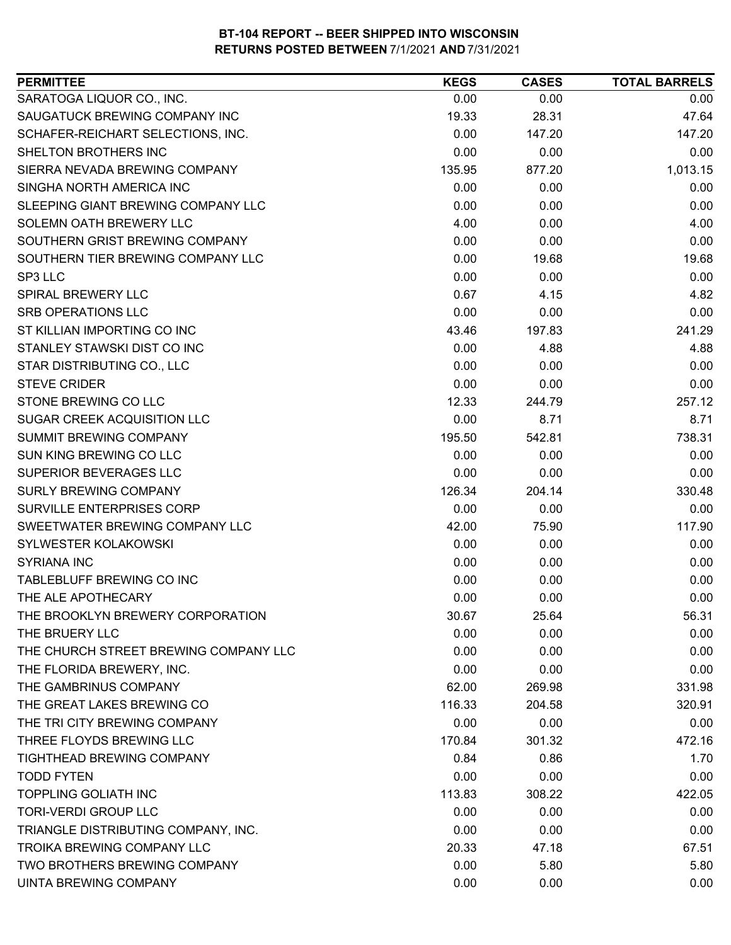| SARATOGA LIQUOR CO., INC.<br>0.00<br>0.00<br>0.00<br>SAUGATUCK BREWING COMPANY INC<br>47.64<br>19.33<br>28.31<br>SCHAFER-REICHART SELECTIONS, INC.<br>0.00<br>147.20<br>147.20<br>0.00<br>0.00<br>SHELTON BROTHERS INC<br>0.00<br>1,013.15<br>135.95<br>SIERRA NEVADA BREWING COMPANY<br>877.20<br>SINGHA NORTH AMERICA INC<br>0.00<br>0.00<br>0.00<br>SLEEPING GIANT BREWING COMPANY LLC<br>0.00<br>0.00<br>0.00<br>SOLEMN OATH BREWERY LLC<br>4.00<br>0.00<br>4.00<br>SOUTHERN GRIST BREWING COMPANY<br>0.00<br>0.00<br>0.00<br>SOUTHERN TIER BREWING COMPANY LLC<br>0.00<br>19.68<br>19.68<br>0.00<br>0.00<br>0.00<br>0.67<br>4.82<br><b>SPIRAL BREWERY LLC</b><br>4.15<br>0.00<br>0.00<br>0.00<br>241.29<br>43.46<br>197.83<br>STANLEY STAWSKI DIST CO INC<br>0.00<br>4.88<br>4.88<br>STAR DISTRIBUTING CO., LLC<br>0.00<br>0.00<br>0.00<br>0.00<br>0.00<br>0.00<br>257.12<br>12.33<br>244.79<br>SUGAR CREEK ACQUISITION LLC<br>0.00<br>8.71<br>8.71<br>195.50<br>542.81<br>738.31<br><b>SUMMIT BREWING COMPANY</b><br>0.00<br>0.00<br>0.00<br>0.00<br>0.00<br>0.00<br>126.34<br>204.14<br>330.48<br>SURVILLE ENTERPRISES CORP<br>0.00<br>0.00<br>0.00<br>117.90<br>42.00<br>75.90<br>0.00<br>0.00<br>0.00<br>0.00<br>0.00<br>0.00<br>TABLEBLUFF BREWING CO INC<br>0.00<br>0.00<br>0.00<br>0.00<br>0.00<br>THE ALE APOTHECARY<br>0.00<br>30.67<br>25.64<br>56.31<br>0.00<br>0.00<br>0.00<br>0.00<br>0.00<br>0.00<br>0.00<br>0.00<br>0.00<br>62.00<br>269.98<br>331.98<br>116.33<br>204.58<br>320.91<br>0.00<br>0.00<br>0.00<br>472.16<br>170.84<br>301.32<br>0.84<br>0.86<br>1.70<br>0.00<br>0.00<br><b>TODD FYTEN</b><br>0.00<br><b>TOPPLING GOLIATH INC</b><br>113.83<br>308.22<br>422.05<br><b>TORI-VERDI GROUP LLC</b><br>0.00<br>0.00<br>0.00<br>0.00<br>0.00<br>0.00<br>67.51<br>20.33<br>47.18<br>0.00<br>5.80<br>5.80 | <b>PERMITTEE</b>                      | <b>KEGS</b> | <b>CASES</b> | <b>TOTAL BARRELS</b> |
|-----------------------------------------------------------------------------------------------------------------------------------------------------------------------------------------------------------------------------------------------------------------------------------------------------------------------------------------------------------------------------------------------------------------------------------------------------------------------------------------------------------------------------------------------------------------------------------------------------------------------------------------------------------------------------------------------------------------------------------------------------------------------------------------------------------------------------------------------------------------------------------------------------------------------------------------------------------------------------------------------------------------------------------------------------------------------------------------------------------------------------------------------------------------------------------------------------------------------------------------------------------------------------------------------------------------------------------------------------------------------------------------------------------------------------------------------------------------------------------------------------------------------------------------------------------------------------------------------------------------------------------------------------------------------------------------------------------------------------------------------------------------------------------------------------------------------------------|---------------------------------------|-------------|--------------|----------------------|
|                                                                                                                                                                                                                                                                                                                                                                                                                                                                                                                                                                                                                                                                                                                                                                                                                                                                                                                                                                                                                                                                                                                                                                                                                                                                                                                                                                                                                                                                                                                                                                                                                                                                                                                                                                                                                                   |                                       |             |              |                      |
|                                                                                                                                                                                                                                                                                                                                                                                                                                                                                                                                                                                                                                                                                                                                                                                                                                                                                                                                                                                                                                                                                                                                                                                                                                                                                                                                                                                                                                                                                                                                                                                                                                                                                                                                                                                                                                   |                                       |             |              |                      |
|                                                                                                                                                                                                                                                                                                                                                                                                                                                                                                                                                                                                                                                                                                                                                                                                                                                                                                                                                                                                                                                                                                                                                                                                                                                                                                                                                                                                                                                                                                                                                                                                                                                                                                                                                                                                                                   |                                       |             |              |                      |
|                                                                                                                                                                                                                                                                                                                                                                                                                                                                                                                                                                                                                                                                                                                                                                                                                                                                                                                                                                                                                                                                                                                                                                                                                                                                                                                                                                                                                                                                                                                                                                                                                                                                                                                                                                                                                                   |                                       |             |              |                      |
|                                                                                                                                                                                                                                                                                                                                                                                                                                                                                                                                                                                                                                                                                                                                                                                                                                                                                                                                                                                                                                                                                                                                                                                                                                                                                                                                                                                                                                                                                                                                                                                                                                                                                                                                                                                                                                   |                                       |             |              |                      |
|                                                                                                                                                                                                                                                                                                                                                                                                                                                                                                                                                                                                                                                                                                                                                                                                                                                                                                                                                                                                                                                                                                                                                                                                                                                                                                                                                                                                                                                                                                                                                                                                                                                                                                                                                                                                                                   |                                       |             |              |                      |
|                                                                                                                                                                                                                                                                                                                                                                                                                                                                                                                                                                                                                                                                                                                                                                                                                                                                                                                                                                                                                                                                                                                                                                                                                                                                                                                                                                                                                                                                                                                                                                                                                                                                                                                                                                                                                                   |                                       |             |              |                      |
|                                                                                                                                                                                                                                                                                                                                                                                                                                                                                                                                                                                                                                                                                                                                                                                                                                                                                                                                                                                                                                                                                                                                                                                                                                                                                                                                                                                                                                                                                                                                                                                                                                                                                                                                                                                                                                   |                                       |             |              |                      |
|                                                                                                                                                                                                                                                                                                                                                                                                                                                                                                                                                                                                                                                                                                                                                                                                                                                                                                                                                                                                                                                                                                                                                                                                                                                                                                                                                                                                                                                                                                                                                                                                                                                                                                                                                                                                                                   |                                       |             |              |                      |
|                                                                                                                                                                                                                                                                                                                                                                                                                                                                                                                                                                                                                                                                                                                                                                                                                                                                                                                                                                                                                                                                                                                                                                                                                                                                                                                                                                                                                                                                                                                                                                                                                                                                                                                                                                                                                                   |                                       |             |              |                      |
|                                                                                                                                                                                                                                                                                                                                                                                                                                                                                                                                                                                                                                                                                                                                                                                                                                                                                                                                                                                                                                                                                                                                                                                                                                                                                                                                                                                                                                                                                                                                                                                                                                                                                                                                                                                                                                   | SP3 LLC                               |             |              |                      |
|                                                                                                                                                                                                                                                                                                                                                                                                                                                                                                                                                                                                                                                                                                                                                                                                                                                                                                                                                                                                                                                                                                                                                                                                                                                                                                                                                                                                                                                                                                                                                                                                                                                                                                                                                                                                                                   |                                       |             |              |                      |
|                                                                                                                                                                                                                                                                                                                                                                                                                                                                                                                                                                                                                                                                                                                                                                                                                                                                                                                                                                                                                                                                                                                                                                                                                                                                                                                                                                                                                                                                                                                                                                                                                                                                                                                                                                                                                                   | <b>SRB OPERATIONS LLC</b>             |             |              |                      |
|                                                                                                                                                                                                                                                                                                                                                                                                                                                                                                                                                                                                                                                                                                                                                                                                                                                                                                                                                                                                                                                                                                                                                                                                                                                                                                                                                                                                                                                                                                                                                                                                                                                                                                                                                                                                                                   | ST KILLIAN IMPORTING CO INC           |             |              |                      |
|                                                                                                                                                                                                                                                                                                                                                                                                                                                                                                                                                                                                                                                                                                                                                                                                                                                                                                                                                                                                                                                                                                                                                                                                                                                                                                                                                                                                                                                                                                                                                                                                                                                                                                                                                                                                                                   |                                       |             |              |                      |
|                                                                                                                                                                                                                                                                                                                                                                                                                                                                                                                                                                                                                                                                                                                                                                                                                                                                                                                                                                                                                                                                                                                                                                                                                                                                                                                                                                                                                                                                                                                                                                                                                                                                                                                                                                                                                                   |                                       |             |              |                      |
|                                                                                                                                                                                                                                                                                                                                                                                                                                                                                                                                                                                                                                                                                                                                                                                                                                                                                                                                                                                                                                                                                                                                                                                                                                                                                                                                                                                                                                                                                                                                                                                                                                                                                                                                                                                                                                   | <b>STEVE CRIDER</b>                   |             |              |                      |
|                                                                                                                                                                                                                                                                                                                                                                                                                                                                                                                                                                                                                                                                                                                                                                                                                                                                                                                                                                                                                                                                                                                                                                                                                                                                                                                                                                                                                                                                                                                                                                                                                                                                                                                                                                                                                                   | <b>STONE BREWING CO LLC</b>           |             |              |                      |
|                                                                                                                                                                                                                                                                                                                                                                                                                                                                                                                                                                                                                                                                                                                                                                                                                                                                                                                                                                                                                                                                                                                                                                                                                                                                                                                                                                                                                                                                                                                                                                                                                                                                                                                                                                                                                                   |                                       |             |              |                      |
|                                                                                                                                                                                                                                                                                                                                                                                                                                                                                                                                                                                                                                                                                                                                                                                                                                                                                                                                                                                                                                                                                                                                                                                                                                                                                                                                                                                                                                                                                                                                                                                                                                                                                                                                                                                                                                   |                                       |             |              |                      |
|                                                                                                                                                                                                                                                                                                                                                                                                                                                                                                                                                                                                                                                                                                                                                                                                                                                                                                                                                                                                                                                                                                                                                                                                                                                                                                                                                                                                                                                                                                                                                                                                                                                                                                                                                                                                                                   | SUN KING BREWING CO LLC               |             |              |                      |
|                                                                                                                                                                                                                                                                                                                                                                                                                                                                                                                                                                                                                                                                                                                                                                                                                                                                                                                                                                                                                                                                                                                                                                                                                                                                                                                                                                                                                                                                                                                                                                                                                                                                                                                                                                                                                                   | SUPERIOR BEVERAGES LLC                |             |              |                      |
|                                                                                                                                                                                                                                                                                                                                                                                                                                                                                                                                                                                                                                                                                                                                                                                                                                                                                                                                                                                                                                                                                                                                                                                                                                                                                                                                                                                                                                                                                                                                                                                                                                                                                                                                                                                                                                   | <b>SURLY BREWING COMPANY</b>          |             |              |                      |
|                                                                                                                                                                                                                                                                                                                                                                                                                                                                                                                                                                                                                                                                                                                                                                                                                                                                                                                                                                                                                                                                                                                                                                                                                                                                                                                                                                                                                                                                                                                                                                                                                                                                                                                                                                                                                                   |                                       |             |              |                      |
|                                                                                                                                                                                                                                                                                                                                                                                                                                                                                                                                                                                                                                                                                                                                                                                                                                                                                                                                                                                                                                                                                                                                                                                                                                                                                                                                                                                                                                                                                                                                                                                                                                                                                                                                                                                                                                   | SWEETWATER BREWING COMPANY LLC        |             |              |                      |
|                                                                                                                                                                                                                                                                                                                                                                                                                                                                                                                                                                                                                                                                                                                                                                                                                                                                                                                                                                                                                                                                                                                                                                                                                                                                                                                                                                                                                                                                                                                                                                                                                                                                                                                                                                                                                                   | SYLWESTER KOLAKOWSKI                  |             |              |                      |
|                                                                                                                                                                                                                                                                                                                                                                                                                                                                                                                                                                                                                                                                                                                                                                                                                                                                                                                                                                                                                                                                                                                                                                                                                                                                                                                                                                                                                                                                                                                                                                                                                                                                                                                                                                                                                                   | <b>SYRIANA INC</b>                    |             |              |                      |
|                                                                                                                                                                                                                                                                                                                                                                                                                                                                                                                                                                                                                                                                                                                                                                                                                                                                                                                                                                                                                                                                                                                                                                                                                                                                                                                                                                                                                                                                                                                                                                                                                                                                                                                                                                                                                                   |                                       |             |              |                      |
|                                                                                                                                                                                                                                                                                                                                                                                                                                                                                                                                                                                                                                                                                                                                                                                                                                                                                                                                                                                                                                                                                                                                                                                                                                                                                                                                                                                                                                                                                                                                                                                                                                                                                                                                                                                                                                   |                                       |             |              |                      |
|                                                                                                                                                                                                                                                                                                                                                                                                                                                                                                                                                                                                                                                                                                                                                                                                                                                                                                                                                                                                                                                                                                                                                                                                                                                                                                                                                                                                                                                                                                                                                                                                                                                                                                                                                                                                                                   | THE BROOKLYN BREWERY CORPORATION      |             |              |                      |
|                                                                                                                                                                                                                                                                                                                                                                                                                                                                                                                                                                                                                                                                                                                                                                                                                                                                                                                                                                                                                                                                                                                                                                                                                                                                                                                                                                                                                                                                                                                                                                                                                                                                                                                                                                                                                                   | THE BRUERY LLC                        |             |              |                      |
|                                                                                                                                                                                                                                                                                                                                                                                                                                                                                                                                                                                                                                                                                                                                                                                                                                                                                                                                                                                                                                                                                                                                                                                                                                                                                                                                                                                                                                                                                                                                                                                                                                                                                                                                                                                                                                   | THE CHURCH STREET BREWING COMPANY LLC |             |              |                      |
|                                                                                                                                                                                                                                                                                                                                                                                                                                                                                                                                                                                                                                                                                                                                                                                                                                                                                                                                                                                                                                                                                                                                                                                                                                                                                                                                                                                                                                                                                                                                                                                                                                                                                                                                                                                                                                   | THE FLORIDA BREWERY, INC.             |             |              |                      |
|                                                                                                                                                                                                                                                                                                                                                                                                                                                                                                                                                                                                                                                                                                                                                                                                                                                                                                                                                                                                                                                                                                                                                                                                                                                                                                                                                                                                                                                                                                                                                                                                                                                                                                                                                                                                                                   | THE GAMBRINUS COMPANY                 |             |              |                      |
|                                                                                                                                                                                                                                                                                                                                                                                                                                                                                                                                                                                                                                                                                                                                                                                                                                                                                                                                                                                                                                                                                                                                                                                                                                                                                                                                                                                                                                                                                                                                                                                                                                                                                                                                                                                                                                   | THE GREAT LAKES BREWING CO            |             |              |                      |
|                                                                                                                                                                                                                                                                                                                                                                                                                                                                                                                                                                                                                                                                                                                                                                                                                                                                                                                                                                                                                                                                                                                                                                                                                                                                                                                                                                                                                                                                                                                                                                                                                                                                                                                                                                                                                                   | THE TRI CITY BREWING COMPANY          |             |              |                      |
|                                                                                                                                                                                                                                                                                                                                                                                                                                                                                                                                                                                                                                                                                                                                                                                                                                                                                                                                                                                                                                                                                                                                                                                                                                                                                                                                                                                                                                                                                                                                                                                                                                                                                                                                                                                                                                   | THREE FLOYDS BREWING LLC              |             |              |                      |
|                                                                                                                                                                                                                                                                                                                                                                                                                                                                                                                                                                                                                                                                                                                                                                                                                                                                                                                                                                                                                                                                                                                                                                                                                                                                                                                                                                                                                                                                                                                                                                                                                                                                                                                                                                                                                                   | <b>TIGHTHEAD BREWING COMPANY</b>      |             |              |                      |
|                                                                                                                                                                                                                                                                                                                                                                                                                                                                                                                                                                                                                                                                                                                                                                                                                                                                                                                                                                                                                                                                                                                                                                                                                                                                                                                                                                                                                                                                                                                                                                                                                                                                                                                                                                                                                                   |                                       |             |              |                      |
|                                                                                                                                                                                                                                                                                                                                                                                                                                                                                                                                                                                                                                                                                                                                                                                                                                                                                                                                                                                                                                                                                                                                                                                                                                                                                                                                                                                                                                                                                                                                                                                                                                                                                                                                                                                                                                   |                                       |             |              |                      |
|                                                                                                                                                                                                                                                                                                                                                                                                                                                                                                                                                                                                                                                                                                                                                                                                                                                                                                                                                                                                                                                                                                                                                                                                                                                                                                                                                                                                                                                                                                                                                                                                                                                                                                                                                                                                                                   |                                       |             |              |                      |
|                                                                                                                                                                                                                                                                                                                                                                                                                                                                                                                                                                                                                                                                                                                                                                                                                                                                                                                                                                                                                                                                                                                                                                                                                                                                                                                                                                                                                                                                                                                                                                                                                                                                                                                                                                                                                                   | TRIANGLE DISTRIBUTING COMPANY, INC.   |             |              |                      |
|                                                                                                                                                                                                                                                                                                                                                                                                                                                                                                                                                                                                                                                                                                                                                                                                                                                                                                                                                                                                                                                                                                                                                                                                                                                                                                                                                                                                                                                                                                                                                                                                                                                                                                                                                                                                                                   | TROIKA BREWING COMPANY LLC            |             |              |                      |
|                                                                                                                                                                                                                                                                                                                                                                                                                                                                                                                                                                                                                                                                                                                                                                                                                                                                                                                                                                                                                                                                                                                                                                                                                                                                                                                                                                                                                                                                                                                                                                                                                                                                                                                                                                                                                                   | TWO BROTHERS BREWING COMPANY          |             |              |                      |
|                                                                                                                                                                                                                                                                                                                                                                                                                                                                                                                                                                                                                                                                                                                                                                                                                                                                                                                                                                                                                                                                                                                                                                                                                                                                                                                                                                                                                                                                                                                                                                                                                                                                                                                                                                                                                                   | <b>UINTA BREWING COMPANY</b>          | 0.00        | 0.00         | 0.00                 |